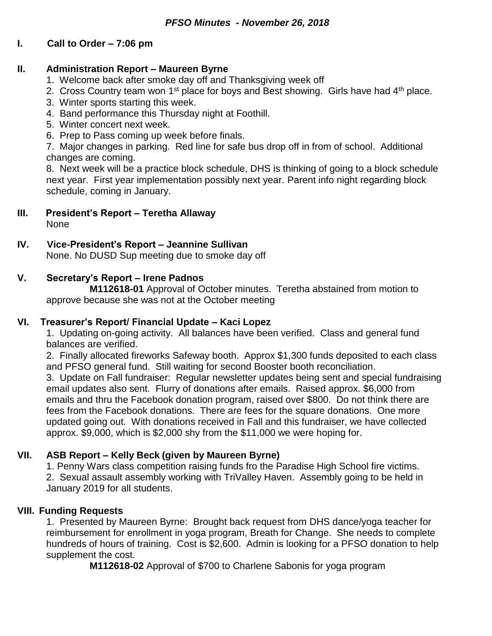# **I. Call to Order – 7:06 pm**

#### **II. Administration Report – Maureen Byrne**

- 1. Welcome back after smoke day off and Thanksgiving week off
- 2. Cross Country team won  $1^{st}$  place for boys and Best showing. Girls have had  $4^{th}$  place.
- 3. Winter sports starting this week.
- 4. Band performance this Thursday night at Foothill.
- 5. Winter concert next week.
- 6. Prep to Pass coming up week before finals.

7. Major changes in parking. Red line for safe bus drop off in from of school. Additional changes are coming.

8. Next week will be a practice block schedule, DHS is thinking of going to a block schedule next year. First year implementation possibly next year. Parent info night regarding block schedule, coming in January.

## **III. President's Report – Teretha Allaway**

None

## **IV. Vice-President's Report – Jeannine Sullivan**

None. No DUSD Sup meeting due to smoke day off

## **V. Secretary's Report – Irene Padnos**

**M112618-01** Approval of October minutes. Teretha abstained from motion to approve because she was not at the October meeting

#### **VI. Treasurer's Report/ Financial Update – Kaci Lopez**

1. Updating on-going activity. All balances have been verified. Class and general fund balances are verified.

2. Finally allocated fireworks Safeway booth. Approx \$1,300 funds deposited to each class and PFSO general fund. Still waiting for second Booster booth reconciliation.

3. Update on Fall fundraiser: Regular newsletter updates being sent and special fundraising email updates also sent. Flurry of donations after emails. Raised approx. \$6,000 from emails and thru the Facebook donation program, raised over \$800. Do not think there are fees from the Facebook donations. There are fees for the square donations. One more updated going out. With donations received in Fall and this fundraiser, we have collected approx. \$9,000, which is \$2,000 shy from the \$11,000 we were hoping for.

# **VII. ASB Report – Kelly Beck (given by Maureen Byrne)**

1. Penny Wars class competition raising funds fro the Paradise High School fire victims. 2. Sexual assault assembly working with TriValley Haven. Assembly going to be held in January 2019 for all students.

#### **VIII. Funding Requests**

1. Presented by Maureen Byrne: Brought back request from DHS dance/yoga teacher for reimbursement for enrollment in yoga program, Breath for Change. She needs to complete hundreds of hours of training. Cost is \$2,600. Admin is looking for a PFSO donation to help supplement the cost.

**M112618-02** Approval of \$700 to Charlene Sabonis for yoga program